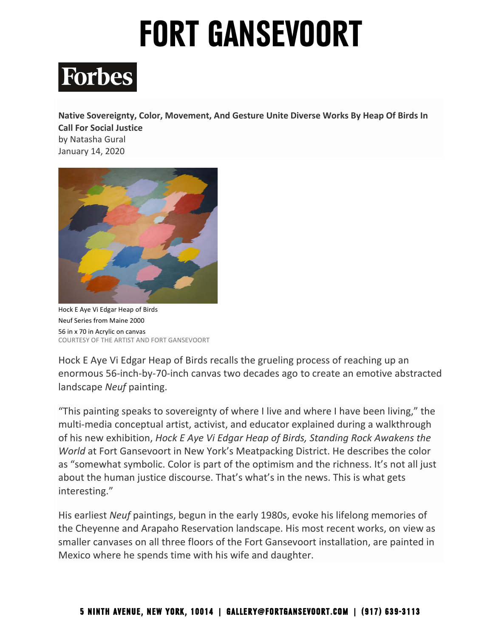

 **Native Sovereignty, Color, Movement, And Gesture Unite Diverse Works By Heap Of Birds In Call For Social Justice**

 January 14, 2020 by Natasha Gural



 Hock E Aye Vi Edgar Heap of Birds Neuf Series from Maine 2000 56 in x 70 in Acrylic on canvas COURTESY OF THE ARTIST AND FORT GANSEVOORT

Hock E Aye Vi Edgar Heap of Birds recalls the grueling process of reaching up an landscape *Neuf* painting. enormous 56-inch-by-70-inch canvas two decades ago to create an emotive abstracted

"This painting speaks to sovereignty of where I live and where I have been living," the multi-media conceptual artist, activist, and educator explained during a walkthrough  of his new exhibition, *Hock E Aye Vi Edgar Heap of Birds, Standing Rock Awakens the* World at Fort Gansevoort in New York's Meatpacking District. He describes the color as "somewhat symbolic. Color is part of the optimism and the richness. It's not all just about the human justice discourse. That's what's in the news. This is what gets interesting."

His earliest *Neuf* paintings, begun in the early 1980s, evoke his lifelong memories of smaller canvases on all three floors of the Fort Gansevoort installation, are painted in Mexico where he spends time with his wife and daughter. the Cheyenne and Arapaho Reservation landscape. His most recent works, on view as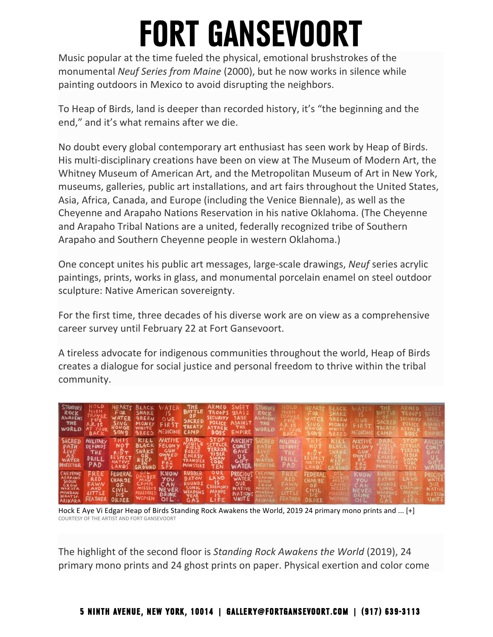Music popular at the time fueled the physical, emotional brushstrokes of the monumental *Neuf Series from Maine* (2000), but he now works in silence while painting outdoors in Mexico to avoid disrupting the neighbors.

To Heap of Birds, land is deeper than recorded history, it's "the beginning and the end," and it's what remains after we die.

No doubt every global contemporary art enthusiast has seen work by Heap of Birds. His multi-disciplinary creations have been on view at The Museum of Modern Art, the museums, galleries, public art installations, and art fairs throughout the United States, Asia, Africa, Canada, and Europe (including the Venice Biennale), as well as the Cheyenne and Arapaho Nations Reservation in his native Oklahoma. (The Cheyenne and Arapaho Tribal Nations are a united, federally recognized tribe of Southern Arapaho and Southern Cheyenne people in western Oklahoma.) Whitney Museum of American Art, and the Metropolitan Museum of Art in New York,

One concept unites his public art messages, large-scale drawings, *Neuf* series acrylic paintings, prints, works in glass, and monumental porcelain enamel on steel outdoor sculpture: Native American sovereignty.

For the first time, three decades of his diverse work are on view as a comprehensive career survey until February 22 at Fort Gansevoort.

A tireless advocate for indigenous communities throughout the world, Heap of Birds creates a dialogue for social justice and personal freedom to thrive within the tribal community.

| <b>STANDING</b><br>ROCK<br>AWAKENS<br>THE<br>WORLD                                                         | OLD<br>A.R. 15<br>BACK                                               | HEARTS<br>FOR<br>WATER<br><b>SING</b><br><b>HONOR</b><br>SONG   | SNAKE<br><b>SREEN</b><br><b>MONEY</b><br>WHITE<br><b>SREED</b> | <b>BLACK WATER</b><br><b>OUR</b><br>FIRST<br><b>MEDICINE</b>        | <b>THE</b><br><b>BATTLE</b><br>OF<br><b>SACRED</b><br><b>TREATY</b><br>CAMP       | ARMED SWEET<br>TROOPS GRASS<br><b>SECURITY</b><br><b>POLICE</b><br><b>ATTACK</b><br><b>DOSS</b> | SASE<br><b>AGAINST</b><br><b>THE</b><br><b>EMPIRE</b>                              | <b>STAIDING</b><br><b>AWAKENS</b><br>THE<br><b>WORLD</b> |                                       | HE ART<br><b>WATE</b>                             | <b>BLACK</b><br><b>SNAKE</b><br><b>SREEN</b><br>MONEY<br>9.R.F.F.D | WATER<br>O UR<br><b>MEDICINE</b> | THE<br>BATTLE<br><b>TREAT</b><br>CAMP | ARMED.<br><b>TROOPS</b><br>SECURITY | <b>SWEET</b> |
|------------------------------------------------------------------------------------------------------------|----------------------------------------------------------------------|-----------------------------------------------------------------|----------------------------------------------------------------|---------------------------------------------------------------------|-----------------------------------------------------------------------------------|-------------------------------------------------------------------------------------------------|------------------------------------------------------------------------------------|----------------------------------------------------------|---------------------------------------|---------------------------------------------------|--------------------------------------------------------------------|----------------------------------|---------------------------------------|-------------------------------------|--------------|
| <b>SACRED</b><br>PATH<br>LIVE<br>WATER<br><b>PROTECTOR</b>                                                 | <b>MILITARY</b><br>DEFENDS<br>THE<br>DRILL<br><b>PAD</b>             | THIS<br><b>NOT</b><br>RIOT<br>RESPECT<br>NATIVE<br>LANDS        | KILL<br><b>BLACK</b><br>SNAKE<br>KEEP<br><b>GROUND</b>         | <b>NATIVE</b><br><b>FELONY</b><br><b>GUN</b><br>OWNED<br><b>EBY</b> | FORCE<br><b>ENERSY</b><br>TRANSFER<br><b>MONSTERS</b>                             | STOP<br>SETTLER<br>TERROI<br><b>WAN</b><br>CODE<br>TEN                                          | <b>ANCIENT!</b><br><b>COMET</b><br>GAVE<br><b>US</b><br><b>WATER</b>               |                                                          | <b>DEFEND!</b><br><b>DRILI</b><br>PAD |                                                   |                                                                    | <b>NATIVE</b><br><b>FELONY</b>   |                                       |                                     |              |
| <b>CHEAEWNE</b><br><b>ARAPANO</b><br>SIOUX<br>CROW<br>NAKOTA<br><b>MANDAN</b><br><b>NIDATSA</b><br>ARIKARA | FREE<br><b>RED</b><br>FAWN<br><b>AND</b><br>LITTLE<br><b>FEATHER</b> | <b>FEDERAL</b><br><b>CHARGE</b><br>0 F<br><b>CIVIL</b><br>ORDER | CAMPS<br>MISSIN<br>MURDERED<br><b>WOMEN</b>                    | KNOW<br>you<br>CAN<br><b>NEVER</b><br><b>DRINK</b><br>OIL           | <b>RUBBER</b><br><b>BATOM</b><br><b>ROUNDS</b><br>SONIC<br>WEAPONS<br>TEAR<br>GAS | OUR<br>LAND<br><b>CEREMONY</b><br>MANPE<br>LIFE                                                 | PRECIOUS<br><b>WATER</b><br>OUR<br><b>NATIVE</b><br><b>NATIONS</b><br><b>UNITE</b> |                                                          | <b>FEATHER</b>                        | <b>FEDERAL</b><br><b>CHARSE</b><br>CIVIL<br>ORDER |                                                                    | KNOW<br>7 OU                     |                                       | LA ND                               | <b>UNITE</b> |

Hock E Aye Vi Edgar Heap of Birds Standing Rock Awakens the World, 2019 24 primary mono prints and ... [+] COURTESY OF THE ARTIST AND FORT GANSEVOORT

 The highlight of the second floor is *Standing Rock Awakens the World* (2019), 24 primary mono prints and 24 ghost prints on paper. Physical exertion and color come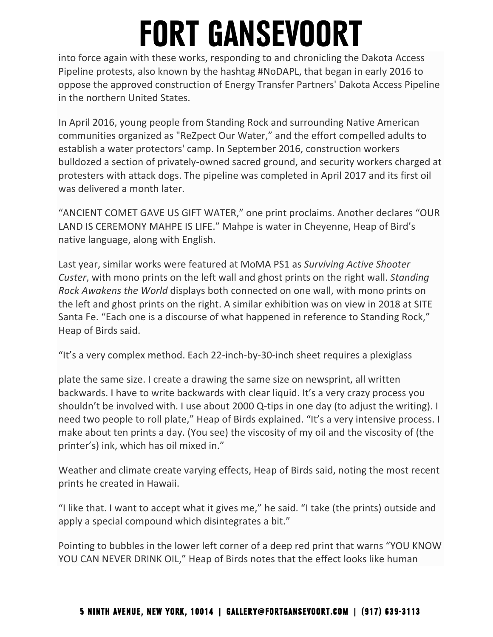Pipeline protests, also known by the hashtag #NoDAPL, that began in early 2016 to oppose the approved construction of Energy Transfer Partners' Dakota Access Pipeline into force again with these works, responding to and chronicling the Dakota Access in the northern United States.

communities organized as "ReZpect Our Water," and the effort compelled adults to bulldozed a section of privately-owned sacred ground, and security workers charged at protesters with attack dogs. The pipeline was completed in April 2017 and its first oil was delivered a month later. In April 2016, young people from Standing Rock and surrounding Native American establish a water protectors' camp. In September 2016, construction workers

"ANCIENT COMET GAVE US GIFT WATER," one print proclaims. Another declares "OUR LAND IS CEREMONY MAHPE IS LIFE." Mahpe is water in Cheyenne, Heap of Bird's native language, along with English.

Last year, similar works were featured at MoMA PS1 as *Surviving Active Shooter* Custer, with mono prints on the left wall and ghost prints on the right wall. Standing Rock Awakens the World displays both connected on one wall, with mono prints on the left and ghost prints on the right. A similar exhibition was on view in 2018 at SITE Santa Fe. "Each one is a discourse of what happened in reference to Standing Rock," Heap of Birds said.

"It's a very complex method. Each 22-inch-by-30-inch sheet requires a plexiglass

plate the same size. I create a drawing the same size on newsprint, all written backwards. I have to write backwards with clear liquid. It's a very crazy process you shouldn't be involved with. I use about 2000 Q-tips in one day (to adjust the writing). I need two people to roll plate," Heap of Birds explained. "It's a very intensive process. I make about ten prints a day. (You see) the viscosity of my oil and the viscosity of (the printer's) ink, which has oil mixed in."

 Weather and climate create varying effects, Heap of Birds said, noting the most recent prints he created in Hawaii.

"I like that. I want to accept what it gives me," he said. "I take (the prints) outside and apply a special compound which disintegrates a bit."

Pointing to bubbles in the lower left corner of a deep red print that warns "YOU KNOW YOU CAN NEVER DRINK OIL," Heap of Birds notes that the effect looks like human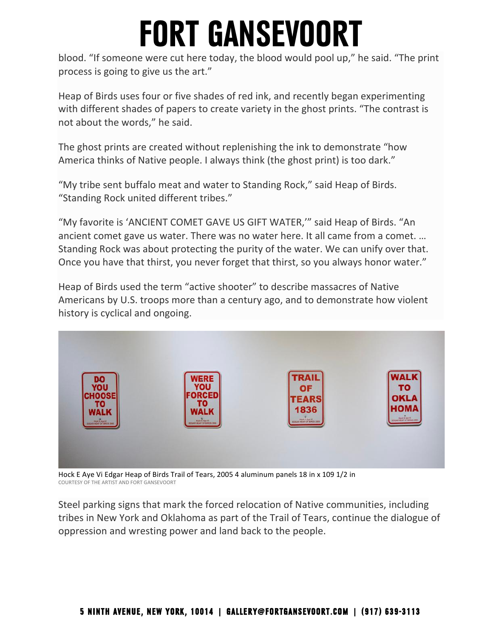blood. "If someone were cut here today, the blood would pool up," he said. "The print process is going to give us the art."

Heap of Birds uses four or five shades of red ink, and recently began experimenting with different shades of papers to create variety in the ghost prints. "The contrast is not about the words," he said.

The ghost prints are created without replenishing the ink to demonstrate "how America thinks of Native people. I always think (the ghost print) is too dark."

"My tribe sent buffalo meat and water to Standing Rock," said Heap of Birds. "Standing Rock united different tribes."

"My favorite is 'ANCIENT COMET GAVE US GIFT WATER,'" said Heap of Birds. "An ancient comet gave us water. There was no water here. It all came from a comet. ... Standing Rock was about protecting the purity of the water. We can unify over that. Once you have that thirst, you never forget that thirst, so you always honor water."

Heap of Birds used the term "active shooter" to describe massacres of Native Americans by U.S. troops more than a century ago, and to demonstrate how violent history is cyclical and ongoing.



Hock E Aye Vi Edgar Heap of Birds Trail of Tears, 2005 4 aluminum panels 18 in x 109 1/2 in COURTESY OF THE ARTIST AND FORT GANSEVOORT

Steel parking signs that mark the forced relocation of Native communities, including oppression and wresting power and land back to the people. tribes in New York and Oklahoma as part of the Trail of Tears, continue the dialogue of